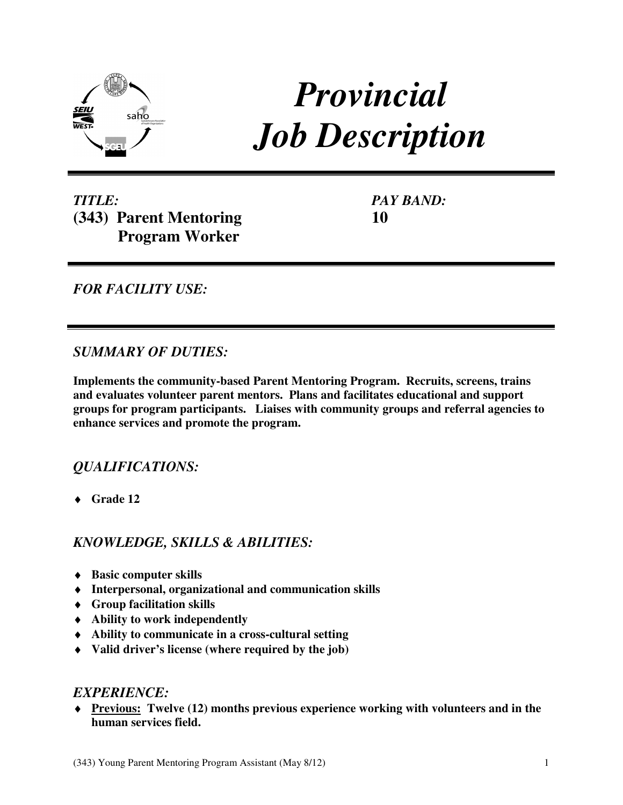

# *Provincial Job Description*

*TITLE:*  **(343) Parent Mentoring Program Worker** 

*PAY BAND:*  **10** 

*FOR FACILITY USE:* 

## *SUMMARY OF DUTIES:*

**Implements the community-based Parent Mentoring Program. Recruits, screens, trains and evaluates volunteer parent mentors. Plans and facilitates educational and support groups for program participants. Liaises with community groups and referral agencies to enhance services and promote the program.** 

## *QUALIFICATIONS:*

♦ **Grade 12** 

## *KNOWLEDGE, SKILLS & ABILITIES:*

- ♦ **Basic computer skills**
- ♦ **Interpersonal, organizational and communication skills**
- ♦ **Group facilitation skills**
- ♦ **Ability to work independently**
- ♦ **Ability to communicate in a cross-cultural setting**
- ♦ **Valid driver's license (where required by the job)**

#### *EXPERIENCE:*

♦ **Previous: Twelve (12) months previous experience working with volunteers and in the human services field.**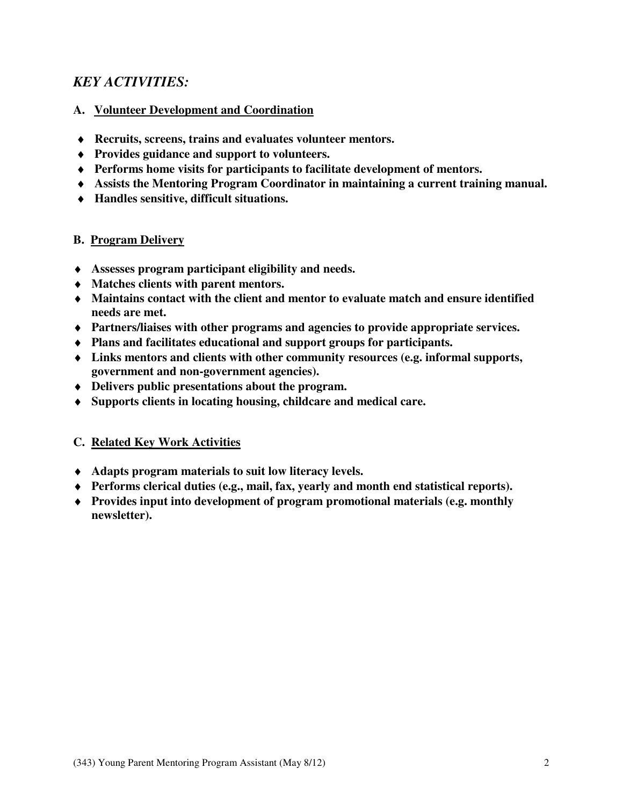## *KEY ACTIVITIES:*

#### **A. Volunteer Development and Coordination**

- ♦ **Recruits, screens, trains and evaluates volunteer mentors.**
- ♦ **Provides guidance and support to volunteers.**
- ♦ **Performs home visits for participants to facilitate development of mentors.**
- ♦ **Assists the Mentoring Program Coordinator in maintaining a current training manual.**
- ♦ **Handles sensitive, difficult situations.**

#### **B. Program Delivery**

- ♦ **Assesses program participant eligibility and needs.**
- ♦ **Matches clients with parent mentors.**
- ♦ **Maintains contact with the client and mentor to evaluate match and ensure identified needs are met.**
- ♦ **Partners/liaises with other programs and agencies to provide appropriate services.**
- ♦ **Plans and facilitates educational and support groups for participants.**
- ♦ **Links mentors and clients with other community resources (e.g. informal supports, government and non-government agencies).**
- ♦ **Delivers public presentations about the program.**
- ♦ **Supports clients in locating housing, childcare and medical care.**

#### **C. Related Key Work Activities**

- ♦ **Adapts program materials to suit low literacy levels.**
- ♦ **Performs clerical duties (e.g., mail, fax, yearly and month end statistical reports).**
- ♦ **Provides input into development of program promotional materials (e.g. monthly newsletter).**